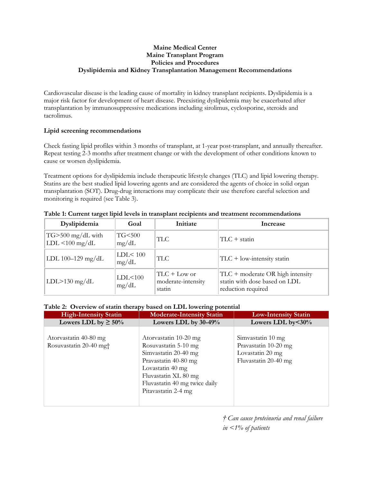#### **Maine Medical Center Maine Transplant Program Policies and Procedures Dyslipidemia and Kidney Transplantation Management Recommendations**

Cardiovascular disease is the leading cause of mortality in kidney transplant recipients. Dyslipidemia is a major risk factor for development of heart disease. Preexisting dyslipidemia may be exacerbated after transplantation by immunosuppressive medications including sirolimus, cyclosporine, steroids and tacrolimus.

## **Lipid screening recommendations**

Check fasting lipid profiles within 3 months of transplant, at 1-year post-transplant, and annually thereafter. Repeat testing 2-3 months after treatment change or with the development of other conditions known to cause or worsen dyslipidemia.

Treatment options for dyslipidemia include therapeutic lifestyle changes (TLC) and lipid lowering therapy. Statins are the best studied lipid lowering agents and are considered the agents of choice in solid organ transplantation (SOT). Drug-drug interactions may complicate their use therefore careful selection and monitoring is required (see Table 3).

| Dyslipidemia                               | Goal               | Initiate                                        | Increase                                                                                  |
|--------------------------------------------|--------------------|-------------------------------------------------|-------------------------------------------------------------------------------------------|
| $TG$ > 500 mg/dL with<br>$LDL < 100$ mg/dL | TG<500<br>mg/dL    | <b>TLC</b>                                      | $TLC + statin$                                                                            |
| LDL $100-129$ mg/dL                        | LDL < 100<br>mg/dL | <b>TLC</b>                                      | $TLC + low-intensity$ statin                                                              |
| $LDL > 130$ mg/dL                          | LDL < 100<br>mg/dL | $ TLC + Low$ or<br>moderate-intensity<br>statin | $TLC$ + moderate OR high intensity<br>statin with dose based on LDL<br>reduction required |

**Table 1: Current target lipid levels in transplant recipients and treatment recommendations**

# **Table 2: Overview of statin therapy based on LDL lowering potential**

| <b>High-Intensity Statin</b>                   | <b>Moderate-Intensity Statin</b>                                                                                                          | <b>Low-Intensity Statin</b>                                                           |  |  |
|------------------------------------------------|-------------------------------------------------------------------------------------------------------------------------------------------|---------------------------------------------------------------------------------------|--|--|
| Lowers LDL by $\geq 50\%$                      | Lowers LDL by $30-49%$                                                                                                                    | Lowers LDL by $<30\%$                                                                 |  |  |
| Atorvastatin 40-80 mg<br>Rosuvastatin 20-40 mg | Atorvastatin 10-20 mg<br>Rosuvastatin 5-10 mg<br>Simvastatin 20-40 mg<br>Pravastatin 40-80 mg<br>Lovastatin 40 mg<br>Fluvastatin XL 80 mg | Simvastatin 10 mg<br>Pravastatin 10-20 mg<br>Lovastatin 20 mg<br>Fluvastatin 20-40 mg |  |  |
|                                                | Fluvastatin 40 mg twice daily<br>Pitavastatin 2-4 mg                                                                                      |                                                                                       |  |  |

*† Can cause proteinuria and renal failure in <1% of patients*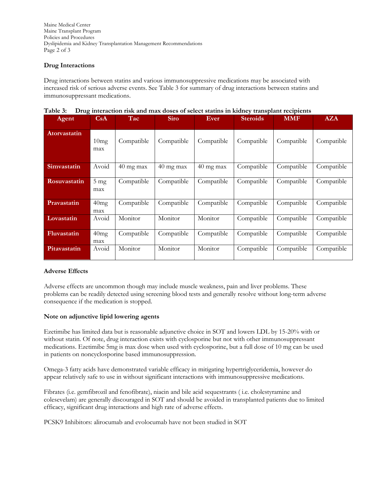Maine Medical Center Maine Transplant Program Policies and Procedures Dyslipidemia and Kidney Transplantation Management Recommendations Page 2 of 3

### **Drug Interactions**

Drug interactions between statins and various immunosuppressive medications may be associated with increased risk of serious adverse events. See Table 3 for summary of drug interactions between statins and immunosuppressant medications.

| Agent               | CsA                   | Tac         | <b>Siro</b>         | Ever                | <b>Steroids</b> | <b>MMF</b> | <b>AZA</b> |
|---------------------|-----------------------|-------------|---------------------|---------------------|-----------------|------------|------------|
| <b>Atorvastatin</b> | 10mg<br>max           | Compatible  | Compatible          | Compatible          | Compatible      | Compatible | Compatible |
| Simvastatin         | Avoid                 | $40$ mg max | $40 \text{ mg max}$ | $40 \text{ mg max}$ | Compatible      | Compatible | Compatible |
| Rosuvastatin        | $5 \text{ mg}$<br>max | Compatible  | Compatible          | Compatible          | Compatible      | Compatible | Compatible |
| Pravastatin         | 40mg<br>max           | Compatible  | Compatible          | Compatible          | Compatible      | Compatible | Compatible |
| Lovastatin          | Avoid                 | Monitor     | Monitor             | Monitor             | Compatible      | Compatible | Compatible |
| Fluvastatin         | 40mg<br>max           | Compatible  | Compatible          | Compatible          | Compatible      | Compatible | Compatible |
| Pitavastatin        | Avoid                 | Monitor     | Monitor             | Monitor             | Compatible      | Compatible | Compatible |

|  | Table 3: Drug interaction risk and max doses of select statins in kidney transplant recipients |  |  |  |  |  |  |
|--|------------------------------------------------------------------------------------------------|--|--|--|--|--|--|
|--|------------------------------------------------------------------------------------------------|--|--|--|--|--|--|

#### **Adverse Effects**

Adverse effects are uncommon though may include muscle weakness, pain and liver problems. These problems can be readily detected using screening blood tests and generally resolve without long-term adverse consequence if the medication is stopped.

#### **Note on adjunctive lipid lowering agents**

Ezetimibe has limited data but is reasonable adjunctive choice in SOT and lowers LDL by 15-20% with or without statin. Of note, drug interaction exists with cyclosporine but not with other immunosuppressant medications. Ezetimibe 5mg is max dose when used with cyclosporine, but a full dose of 10 mg can be used in patients on noncyclosporine based immunosuppression.

Omega-3 fatty acids have demonstrated variable efficacy in mitigating hypertriglyceridemia, however do appear relatively safe to use in without significant interactions with immunosuppressive medications.

Fibrates (i.e. gemfibrozil and fenofibrate), niacin and bile acid sequestrants ( i.e. cholestyramine and colesevelam) are generally discouraged in SOT and should be avoided in transplanted patients due to limited efficacy, significant drug interactions and high rate of adverse effects.

PCSK9 Inhibitors: alirocumab and evolocumab have not been studied in SOT